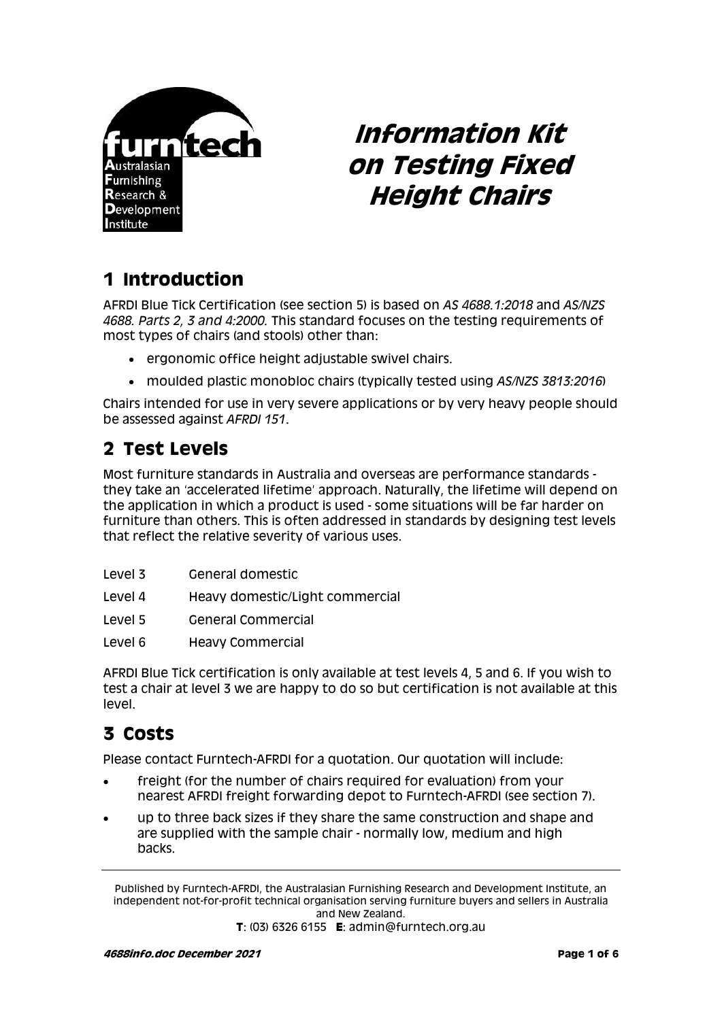

# **Information Kit on Testing Fixed Height Chairs**

## **1 Introduction**

AFRDI Blue Tick Certification (see section 5) is based on *AS 4688.1:2018* and *AS/NZS 4688. Parts 2, 3 and 4:2000.* This standard focuses on the testing requirements of most types of chairs (and stools) other than:

- ergonomic office height adjustable swivel chairs.
- moulded plastic monobloc chairs (typically tested using *AS/NZS 3813:2016*)

Chairs intended for use in very severe applications or by very heavy people should be assessed against *AFRDI 151*.

## **2 Test Levels**

Most furniture standards in Australia and overseas are performance standards they take an 'accelerated lifetime' approach. Naturally, the lifetime will depend on the application in which a product is used - some situations will be far harder on furniture than others. This is often addressed in standards by designing test levels that reflect the relative severity of various uses.

| Level 3 | General domestic |
|---------|------------------|
|         |                  |

- Level 4 Heavy domestic/Light commercial
- Level 5 General Commercial
- Level 6 Heavy Commercial

AFRDI Blue Tick certification is only available at test levels 4, 5 and 6. If you wish to test a chair at level 3 we are happy to do so but certification is not available at this level.

## **3 Costs**

Please contact Furntech-AFRDI for a quotation. Our quotation will include:

- freight (for the number of chairs required for evaluation) from your nearest AFRDI freight forwarding depot to Furntech-AFRDI (see section 7).
- up to three back sizes if they share the same construction and shape and are supplied with the sample chair - normally low, medium and high backs.

Published by Furntech-AFRDI, the Australasian Furnishing Research and Development Institute, an independent not-for-profit technical organisation serving furniture buyers and sellers in Australia and New Zealand.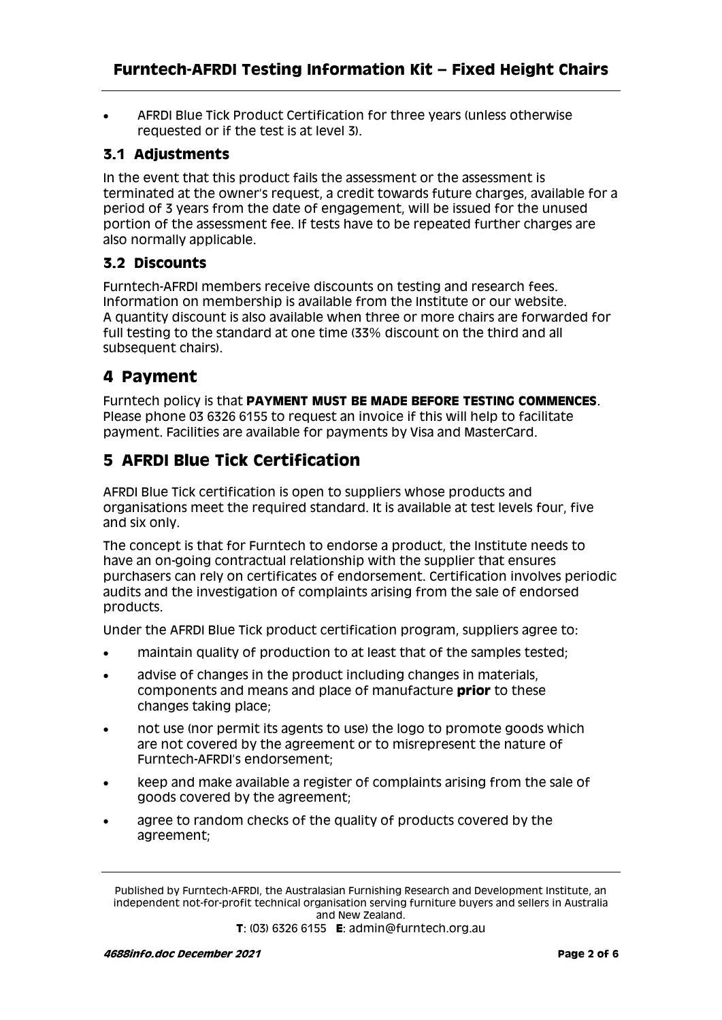AFRDI Blue Tick Product Certification for three years (unless otherwise requested or if the test is at level 3).

#### **3.1 Adjustments**

In the event that this product fails the assessment or the assessment is terminated at the owner's request, a credit towards future charges, available for a period of 3 years from the date of engagement, will be issued for the unused portion of the assessment fee. If tests have to be repeated further charges are also normally applicable.

#### **3.2 Discounts**

Furntech-AFRDI members receive discounts on testing and research fees. Information on membership is available from the Institute or our website. A quantity discount is also available when three or more chairs are forwarded for full testing to the standard at one time (33% discount on the third and all subsequent chairs).

#### **4 Payment**

Furntech policy is that **PAYMENT MUST BE MADE BEFORE TESTING COMMENCES**. Please phone 03 6326 6155 to request an invoice if this will help to facilitate payment. Facilities are available for payments by Visa and MasterCard.

#### **5 AFRDI Blue Tick Certification**

AFRDI Blue Tick certification is open to suppliers whose products and organisations meet the required standard. It is available at test levels four, five and six only.

The concept is that for Furntech to endorse a product, the Institute needs to have an on-going contractual relationship with the supplier that ensures purchasers can rely on certificates of endorsement. Certification involves periodic audits and the investigation of complaints arising from the sale of endorsed products.

Under the AFRDI Blue Tick product certification program, suppliers agree to:

- maintain quality of production to at least that of the samples tested;
- advise of changes in the product including changes in materials, components and means and place of manufacture **prior** to these changes taking place;
- not use (nor permit its agents to use) the logo to promote goods which are not covered by the agreement or to misrepresent the nature of Furntech-AFRDI's endorsement;
- keep and make available a register of complaints arising from the sale of goods covered by the agreement;
- agree to random checks of the quality of products covered by the agreement;

Published by Furntech-AFRDI, the Australasian Furnishing Research and Development Institute, an independent not-for-profit technical organisation serving furniture buyers and sellers in Australia and New Zealand.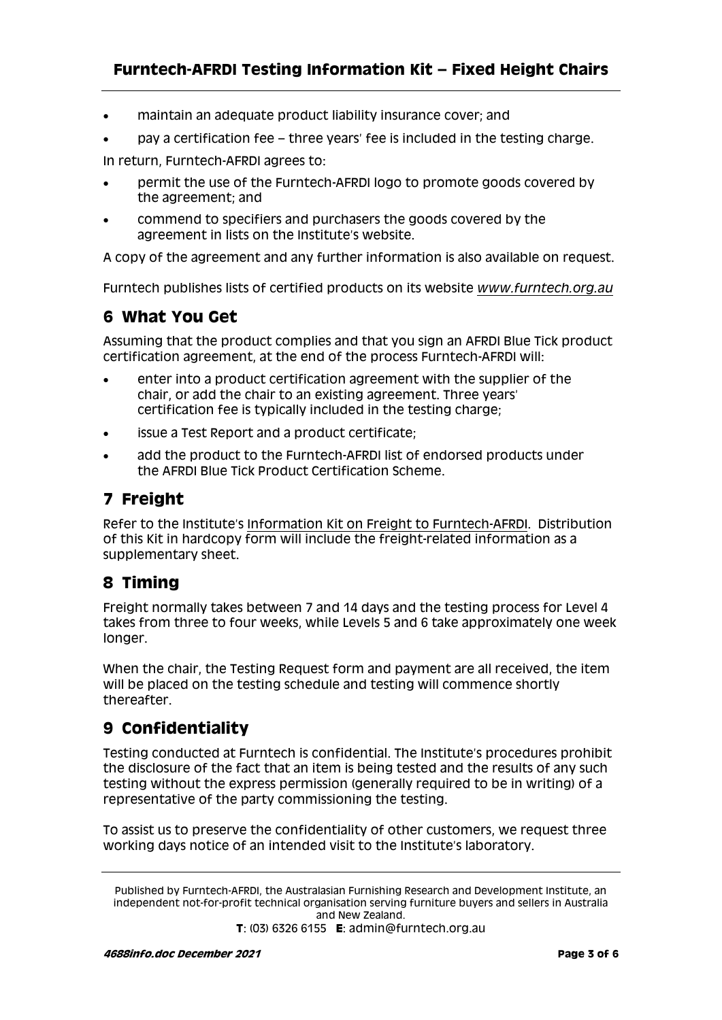- maintain an adequate product liability insurance cover; and
- pay a certification fee three years' fee is included in the testing charge.

In return, Furntech-AFRDI agrees to:

- permit the use of the Furntech-AFRDI logo to promote goods covered by the agreement; and
- commend to specifiers and purchasers the goods covered by the agreement in lists on the Institute's website.

A copy of the agreement and any further information is also available on request.

Furntech publishes lists of certified products on its website *[www.furntech.org.au](http://www.furntech.org.au/)*

#### **6 What You Get**

Assuming that the product complies and that you sign an AFRDI Blue Tick product certification agreement, at the end of the process Furntech-AFRDI will:

- enter into a product certification agreement with the supplier of the chair, or add the chair to an existing agreement. Three years' certification fee is typically included in the testing charge;
- issue a Test Report and a product certificate;
- add the product to the Furntech-AFRDI list of endorsed products under the AFRDI Blue Tick Product Certification Scheme.

#### **7 Freight**

Refer to the Institute's [Information Kit on Freight to Furntech-AFRDI.](http://furntech.org.au/pdf/index.php?dir=Corporate/&file=FreightInfo.pdf) Distribution of this Kit in hardcopy form will include the freight-related information as a supplementary sheet.

#### **8 Timing**

Freight normally takes between 7 and 14 days and the testing process for Level 4 takes from three to four weeks, while Levels 5 and 6 take approximately one week longer.

When the chair, the Testing Request form and payment are all received, the item will be placed on the testing schedule and testing will commence shortly thereafter.

#### **9 Confidentiality**

Testing conducted at Furntech is confidential. The Institute's procedures prohibit the disclosure of the fact that an item is being tested and the results of any such testing without the express permission (generally required to be in writing) of a representative of the party commissioning the testing.

To assist us to preserve the confidentiality of other customers, we request three working days notice of an intended visit to the Institute's laboratory.

Published by Furntech-AFRDI, the Australasian Furnishing Research and Development Institute, an independent not-for-profit technical organisation serving furniture buyers and sellers in Australia and New Zealand.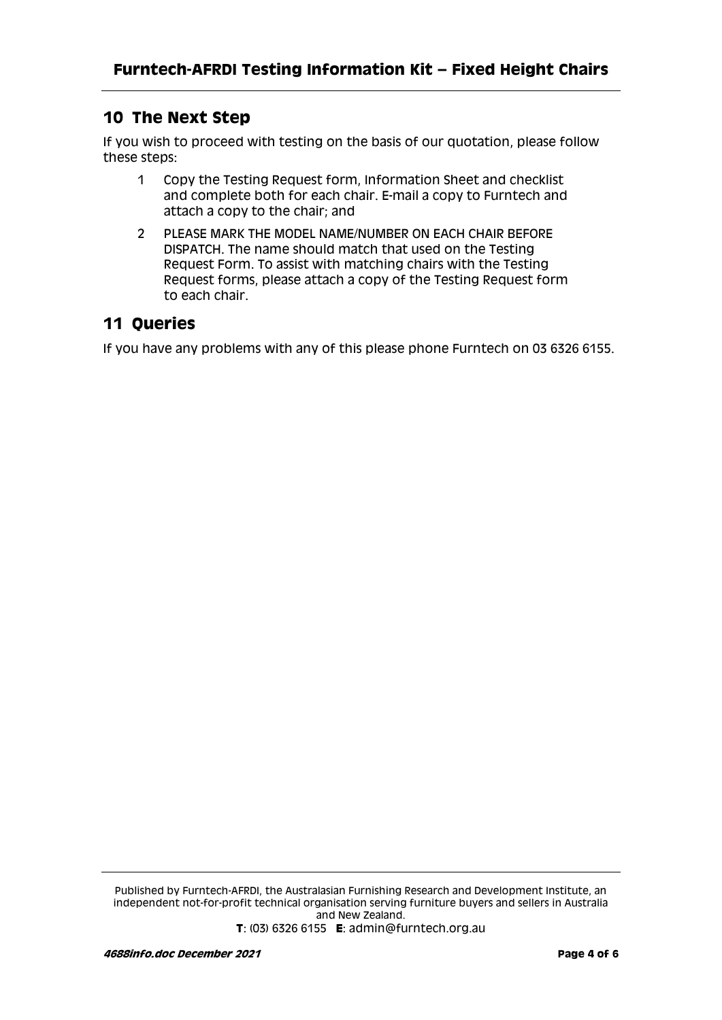#### **10 The Next Step**

If you wish to proceed with testing on the basis of our quotation, please follow these steps:

- 1 Copy the Testing Request form, Information Sheet and checklist and complete both for each chair. E-mail a copy to Furntech and attach a copy to the chair; and
- 2 PLEASE MARK THE MODEL NAME/NUMBER ON EACH CHAIR BEFORE DISPATCH. The name should match that used on the Testing Request Form. To assist with matching chairs with the Testing Request forms, please attach a copy of the Testing Request form to each chair.

#### **11 Queries**

If you have any problems with any of this please phone Furntech on 03 6326 6155.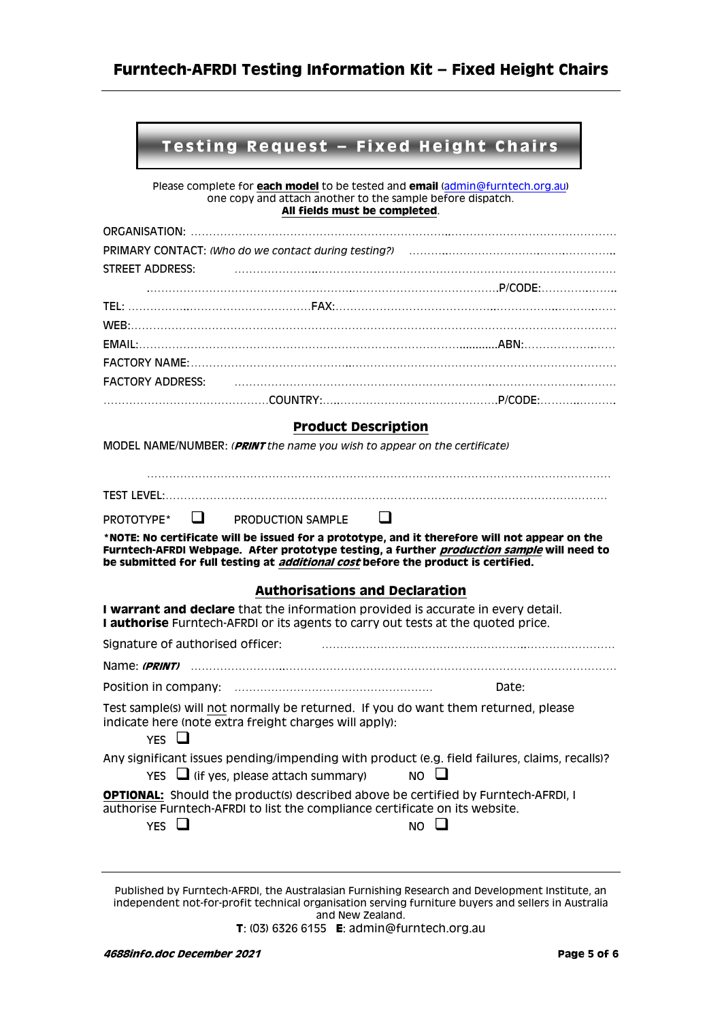#### **Testing Request - Fixed Height Chairs**

Please complete for **each model** to be tested and **email** [\(admin@furntech.org.au\)](mailto:admin@furntech.org.au) one copy and attach another to the sample before dispatch. **All fields must be completed**.

| STREET ADDRESS:                                                                                                                                                                                                                                                                               |  |  |  |  |
|-----------------------------------------------------------------------------------------------------------------------------------------------------------------------------------------------------------------------------------------------------------------------------------------------|--|--|--|--|
|                                                                                                                                                                                                                                                                                               |  |  |  |  |
|                                                                                                                                                                                                                                                                                               |  |  |  |  |
|                                                                                                                                                                                                                                                                                               |  |  |  |  |
|                                                                                                                                                                                                                                                                                               |  |  |  |  |
| <b>FACTORY ADDRESS:</b>                                                                                                                                                                                                                                                                       |  |  |  |  |
|                                                                                                                                                                                                                                                                                               |  |  |  |  |
| <b>Product Description</b>                                                                                                                                                                                                                                                                    |  |  |  |  |
| MODEL NAME/NUMBER: (PRINT the name you wish to appear on the certificate)                                                                                                                                                                                                                     |  |  |  |  |
|                                                                                                                                                                                                                                                                                               |  |  |  |  |
|                                                                                                                                                                                                                                                                                               |  |  |  |  |
| $\sqcup$<br>$\Box$<br>PROTOTYPE*<br>PRODUCTION SAMPLE                                                                                                                                                                                                                                         |  |  |  |  |
| *NOTE: No certificate will be issued for a prototype, and it therefore will not appear on the<br>Furntech-AFRDI Webpage. After prototype testing, a further <i>production sample</i> will need to<br>be submitted for full testing at <i>additional cost</i> before the product is certified. |  |  |  |  |
|                                                                                                                                                                                                                                                                                               |  |  |  |  |
| <b>Authorisations and Declaration</b>                                                                                                                                                                                                                                                         |  |  |  |  |
| I warrant and declare that the information provided is accurate in every detail.<br>I authorise Furntech-AFRDI or its agents to carry out tests at the quoted price.                                                                                                                          |  |  |  |  |
| Signature of authorised officer:                                                                                                                                                                                                                                                              |  |  |  |  |
|                                                                                                                                                                                                                                                                                               |  |  |  |  |
| Date:                                                                                                                                                                                                                                                                                         |  |  |  |  |
| Test sample(s) will not normally be returned. If you do want them returned, please<br>indicate here (note extra freight charges will apply):<br>YES $\Box$                                                                                                                                    |  |  |  |  |
| Any significant issues pending/impending with product (e.g. field failures, claims, recalls)?<br>$Yes \Box$ (if yes, please attach summary)<br>$NO$ $\Box$                                                                                                                                    |  |  |  |  |

Published by Furntech-AFRDI, the Australasian Furnishing Research and Development Institute, an independent not-for-profit technical organisation serving furniture buyers and sellers in Australia and New Zealand. **T**: (03) 6326 6155 **E**: admin@furntech.org.au

**4688info.doc December 2021 Page 5 of 6**